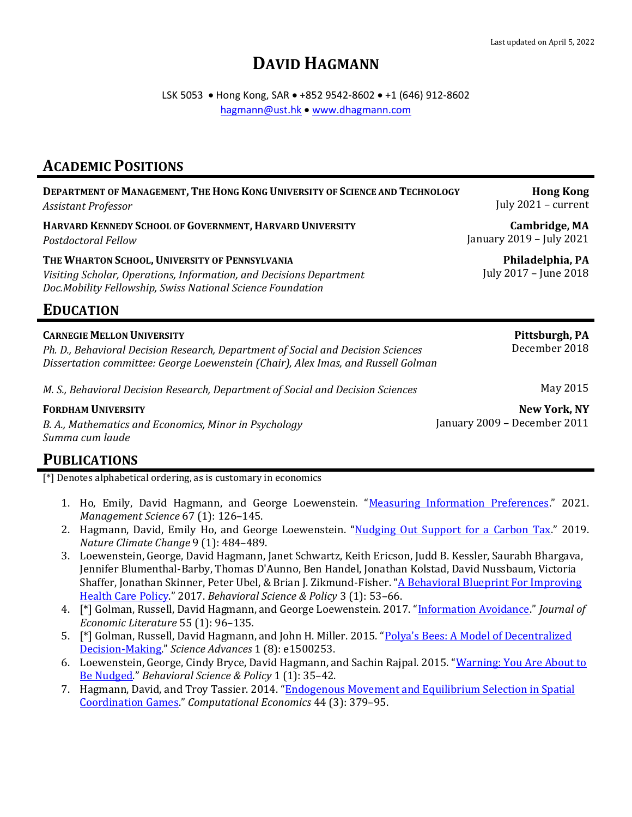# **DAVID HAGMANN**

LSK 5053 • Hong Kong, SAR • +852 9542-8602 • +1 (646) 912-8602 [hagmann@ust.hk](mailto:hagmann@ust.hk) • [www.dhagmann.com](http://www.dhagmann.com/)

## **ACADEMIC POSITIONS**

| DEPARTMENT OF MANAGEMENT, THE HONG KONG UNIVERSITY OF SCIENCE AND TECHNOLOGY                                                                                                        | Hong                          |
|-------------------------------------------------------------------------------------------------------------------------------------------------------------------------------------|-------------------------------|
| <b>Assistant Professor</b>                                                                                                                                                          | July $2021 - c$               |
| HARVARD KENNEDY SCHOOL OF GOVERNMENT, HARVARD UNIVERSITY                                                                                                                            | Cambrid                       |
| <b>Postdoctoral Fellow</b>                                                                                                                                                          | January 2019 - Jul            |
| THE WHARTON SCHOOL, UNIVERSITY OF PENNSYLVANIA<br>Visiting Scholar, Operations, Information, and Decisions Department<br>Doc.Mobility Fellowship, Swiss National Science Foundation | Philadelpl<br>July 2017 - Jun |
| <b>EDUCATION</b>                                                                                                                                                                    |                               |

#### **CARNEGIE MELLON UNIVERSITY**

*Ph. D., Behavioral Decision Research, Department of Social and Decision Sciences Dissertation committee: George Loewenstein (Chair), Alex Imas, and Russell Golman*

*M. S., Behavioral Decision Research, Department of Social and Decision Sciences*

#### **FORDHAM UNIVERSITY**

*B. A., Mathematics and Economics, Minor in Psychology Summa cum laude*

**PUBLICATIONS**

[\*] Denotes alphabetical ordering, as is customary in economics

- 1. Ho, Emily, David Hagmann, and George Loewenstein. "[Measuring Information Preferences](https://files.dhagmann.com/papers/2021_measuring_information_preferences.pdf)." 2021. *Management Science* 67 (1): 126–145.
- 2. Hagmann, David, Emily Ho, and George Loewenstein. "[Nudging Out Support for a Carbon Tax](http://files.dhagmann.com/papers/2019_nudging_out_support.pdf)." 2019. *Nature Climate Change* 9 (1): 484–489.
- 3. Loewenstein, George, David Hagmann, Janet Schwartz, Keith Ericson, Judd B. Kessler, Saurabh Bhargava, Jennifer Blumenthal-Barby, Thomas D'Aunno, Ben Handel, Jonathan Kolstad, David Nussbaum, Victoria Shaffer, Jonathan Skinner, Peter Ubel, & Brian J. Zikmund-Fisher. "A Behavioral Blueprint For Improving [Health Care Policy](http://files.dhagmann.com/papers/2017_behavioral_blueprint.pdf)." 2017. *Behavioral Science & Policy* 3 (1): 53–66.
- 4. [\*] Golman, Russell, David Hagmann, and George Loewenstein. 2017. "[Information Avoidance](http://files.dhagmann.com/papers/2017_information_avoidance.pdf)." *Journal of Economic Literature* 55 (1): 96–135*.*
- 5. <sup>[\*]</sup> Golman, Russell, David Hagmann, and John H. Miller. 2015. ["Polya's Bees: A Model of Dec](http://files.dhagmann.com/papers/2015_polyas_bees.pdf)entralized [Decision-Making](http://files.dhagmann.com/papers/2015_polyas_bees.pdf)." *Science Advances* 1 (8): e1500253.
- 6. Loewenstein, George, Cindy Bryce, David Hagmann, and Sachin Rajpal. 2015. "[Warning: You Are About to](http://files.dhagmann.com/papers/2015_warning.pdf)  [Be Nudged](http://files.dhagmann.com/papers/2015_warning.pdf)." *Behavioral Science & Policy* 1 (1): 35–42.
- 7. Hagmann, David, and Troy Tassier. 2014. "Endogenous Movement and Equilibrium Selection in Spatial [Coordination Games](http://files.dhagmann.com/papers/2014_endogenous_movement.pdf)." *Computational Economics* 44 (3): 379–95.

**Hong Kong** zurrent

ge, MA y 2021

> **hia, PA** e 2018

> > **Pittsburgh, PA** December 2018

> > > May 2015

**New York, NY** January 2009 – December 2011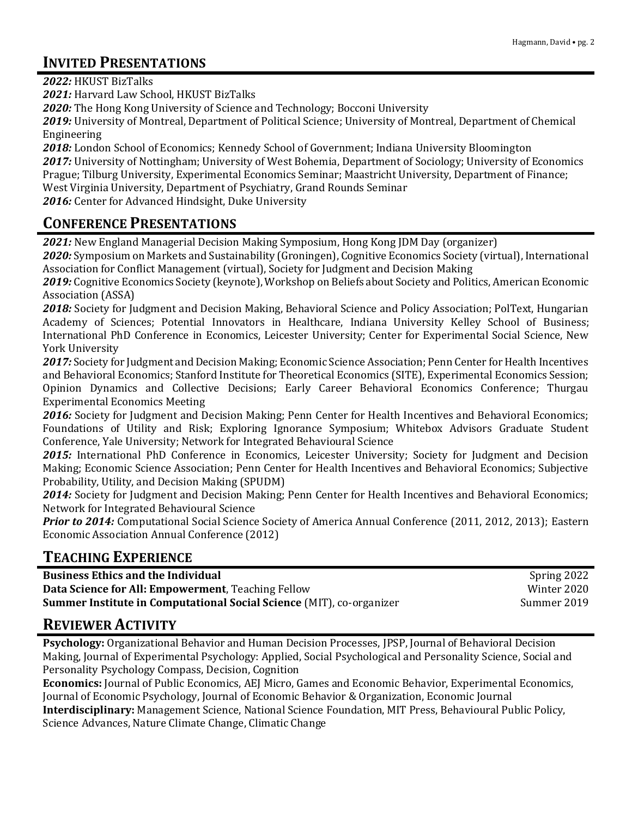# **INVITED PRESENTATIONS**

*2022:* HKUST BizTalks

*2021:* Harvard Law School, HKUST BizTalks

*2020:* The Hong Kong University of Science and Technology; Bocconi University

*2019:* University of Montreal, Department of Political Science; University of Montreal, Department of Chemical Engineering

*2018:* London School of Economics; Kennedy School of Government; Indiana University Bloomington

*2017:* University of Nottingham; University of West Bohemia, Department of Sociology; University of Economics Prague; Tilburg University, Experimental Economics Seminar; Maastricht University, Department of Finance;

West Virginia University, Department of Psychiatry, Grand Rounds Seminar

2016: Center for Advanced Hindsight, Duke University

#### **CONFERENCE PRESENTATIONS**

*2021:* New England Managerial Decision Making Symposium, Hong Kong JDM Day (organizer)

*2020:* Symposium on Markets and Sustainability (Groningen), Cognitive Economics Society (virtual), International Association for Conflict Management (virtual), Society for Judgment and Decision Making

*2019:* Cognitive Economics Society (keynote), Workshop on Beliefs about Society and Politics, American Economic Association (ASSA)

*2018:* Society for Judgment and Decision Making, Behavioral Science and Policy Association; PolText, Hungarian Academy of Sciences; Potential Innovators in Healthcare, Indiana University Kelley School of Business; International PhD Conference in Economics, Leicester University; Center for Experimental Social Science, New York University

*2017:* Society for Judgment and Decision Making; Economic Science Association; Penn Center for Health Incentives and Behavioral Economics; Stanford Institute for Theoretical Economics (SITE), Experimental Economics Session; Opinion Dynamics and Collective Decisions; Early Career Behavioral Economics Conference; Thurgau Experimental Economics Meeting

*2016:* Society for Judgment and Decision Making; Penn Center for Health Incentives and Behavioral Economics; Foundations of Utility and Risk; Exploring Ignorance Symposium; Whitebox Advisors Graduate Student Conference, Yale University; Network for Integrated Behavioural Science

2015: International PhD Conference in Economics, Leicester University; Society for Judgment and Decision Making; Economic Science Association; Penn Center for Health Incentives and Behavioral Economics; Subjective Probability, Utility, and Decision Making (SPUDM)

*2014:* Society for Judgment and Decision Making; Penn Center for Health Incentives and Behavioral Economics; Network for Integrated Behavioural Science

*Prior to 2014:* Computational Social Science Society of America Annual Conference (2011, 2012, 2013); Eastern Economic Association Annual Conference (2012)

### **TEACHING EXPERIENCE**

| <b>Business Ethics and the Individual</b>                                   | Spring 2022 |
|-----------------------------------------------------------------------------|-------------|
| <b>Data Science for All: Empowerment, Teaching Fellow</b>                   | Winter 2020 |
| <b>Summer Institute in Computational Social Science (MIT), co-organizer</b> | Summer 2019 |

#### **REVIEWER ACTIVITY**

**Psychology:** Organizational Behavior and Human Decision Processes, JPSP, Journal of Behavioral Decision Making, Journal of Experimental Psychology: Applied, Social Psychological and Personality Science, Social and Personality Psychology Compass, Decision, Cognition

**Economics:** Journal of Public Economics, AEJ Micro, Games and Economic Behavior, Experimental Economics, Journal of Economic Psychology, Journal of Economic Behavior & Organization, Economic Journal

**Interdisciplinary:** Management Science, National Science Foundation, MIT Press, Behavioural Public Policy, Science Advances, Nature Climate Change, Climatic Change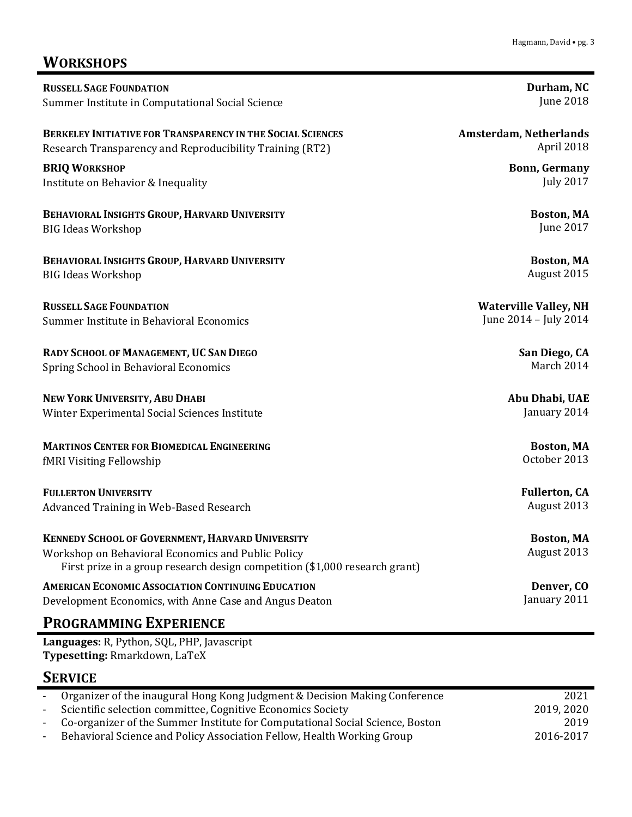#### Hagmann, David • pg. 3

# **WORKSHOPS**

| <b>RUSSELL SAGE FOUNDATION</b>                                                                                                                                                        | Durham, NC                       |
|---------------------------------------------------------------------------------------------------------------------------------------------------------------------------------------|----------------------------------|
| Summer Institute in Computational Social Science                                                                                                                                      | <b>June 2018</b>                 |
| <b>BERKELEY INITIATIVE FOR TRANSPARENCY IN THE SOCIAL SCIENCES</b>                                                                                                                    | <b>Amsterdam, Netherlands</b>    |
| Research Transparency and Reproducibility Training (RT2)                                                                                                                              | April 2018                       |
| <b>BRIQ WORKSHOP</b>                                                                                                                                                                  | <b>Bonn, Germany</b>             |
| Institute on Behavior & Inequality                                                                                                                                                    | <b>July 2017</b>                 |
| BEHAVIORAL INSIGHTS GROUP, HARVARD UNIVERSITY                                                                                                                                         | Boston, MA                       |
| <b>BIG Ideas Workshop</b>                                                                                                                                                             | <b>June 2017</b>                 |
| BEHAVIORAL INSIGHTS GROUP, HARVARD UNIVERSITY                                                                                                                                         | Boston, MA                       |
| <b>BIG Ideas Workshop</b>                                                                                                                                                             | August 2015                      |
| <b>RUSSELL SAGE FOUNDATION</b>                                                                                                                                                        | <b>Waterville Valley, NH</b>     |
| Summer Institute in Behavioral Economics                                                                                                                                              | June 2014 - July 2014            |
| RADY SCHOOL OF MANAGEMENT, UC SAN DIEGO                                                                                                                                               | San Diego, CA                    |
| Spring School in Behavioral Economics                                                                                                                                                 | March 2014                       |
| NEW YORK UNIVERSITY, ABU DHABI                                                                                                                                                        | Abu Dhabi, UAE                   |
| Winter Experimental Social Sciences Institute                                                                                                                                         | January 2014                     |
| <b>MARTINOS CENTER FOR BIOMEDICAL ENGINEERING</b>                                                                                                                                     | Boston, MA                       |
| fMRI Visiting Fellowship                                                                                                                                                              | October 2013                     |
| <b>FULLERTON UNIVERSITY</b>                                                                                                                                                           | <b>Fullerton, CA</b>             |
| Advanced Training in Web-Based Research                                                                                                                                               | August 2013                      |
| KENNEDY SCHOOL OF GOVERNMENT, HARVARD UNIVERSITY<br>Workshop on Behavioral Economics and Public Policy<br>First prize in a group research design competition (\$1,000 research grant) | <b>Boston, MA</b><br>August 2013 |
| <b>AMERICAN ECONOMIC ASSOCIATION CONTINUING EDUCATION</b>                                                                                                                             | Denver, CO                       |
| Development Economics, with Anne Case and Angus Deaton                                                                                                                                | January 2011                     |
| <b>PROGRAMMING EXPERIENCE</b>                                                                                                                                                         |                                  |
| Languages: R, Python, SQL, PHP, Javascript                                                                                                                                            |                                  |

**Typesetting:** Rmarkdown, LaTeX

# **SERVICE**

| $\sim 100$ | Organizer of the inaugural Hong Kong Judgment & Decision Making Conference    | 2021       |
|------------|-------------------------------------------------------------------------------|------------|
| $\sim 100$ | Scientific selection committee, Cognitive Economics Society                   | 2019, 2020 |
| $\sim 100$ | Co-organizer of the Summer Institute for Computational Social Science, Boston | 2019       |
|            | Behavioral Science and Policy Association Fellow, Health Working Group        | 2016-2017  |
|            |                                                                               |            |